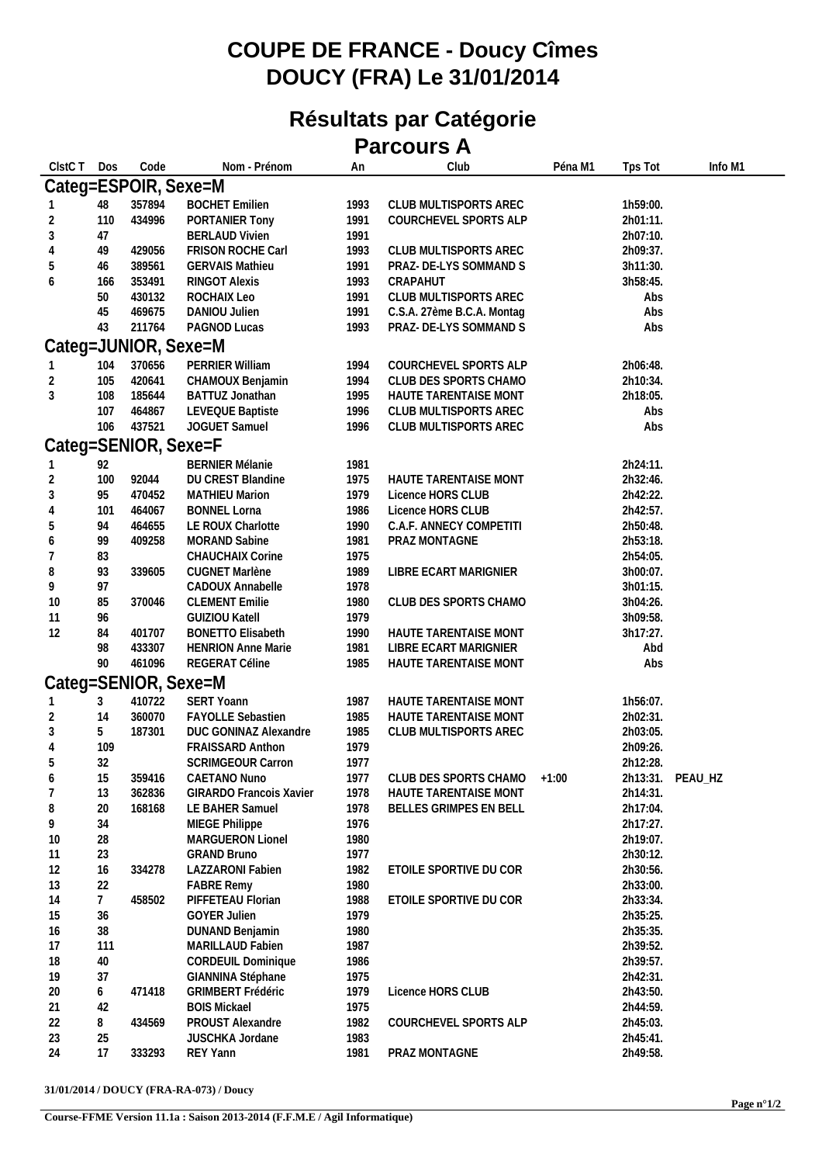## **COUPE DE FRANCE - Doucy Cîmes DOUCY (FRA) Le 31/01/2014**

## **Résultats par Catégorie Parcours A**

| CIstC T | Dos            | Code                 | Nom - Prénom              | An   | Club                        | Péna M1 | Tps Tot  | Info M1          |
|---------|----------------|----------------------|---------------------------|------|-----------------------------|---------|----------|------------------|
|         |                | Categ=ESPOIR, Sexe=M |                           |      |                             |         |          |                  |
|         | 48             | 357894               | <b>BOCHET Emilien</b>     | 1993 | CLUB MULTISPORTS AREC       |         | 1h59:00. |                  |
|         | 110            | 434996               | PORTANIER Tony            | 1991 | COURCHEVEL SPORTS ALP       |         | 2h01:11. |                  |
| 3       | 47             |                      | <b>BERLAUD Vivien</b>     | 1991 |                             |         | 2h07:10. |                  |
|         | 49             | 429056               | FRISON ROCHE Carl         | 1993 | CLUB MULTISPORTS AREC       |         | 2h09:37. |                  |
|         | 46             | 389561               | <b>GERVAIS Mathieu</b>    | 1991 | PRAZ- DE-LYS SOMMAND S      |         | 3h11:30. |                  |
| 6       | 166            | 353491               | RINGOT Alexis             | 1993 | CRAPAHUT                    |         | 3h58:45. |                  |
|         | 50             | 430132               | ROCHAIX Leo               | 1991 | CLUB MULTISPORTS AREC       |         | Abs      |                  |
|         | 45             | 469675               | DANIOU Julien             | 1991 | C.S.A. 27ème B.C.A. Montag  |         | Abs      |                  |
|         | 43             | 211764               | PAGNOD Lucas              | 1993 | PRAZ- DE-LYS SOMMAND S      |         | Abs      |                  |
|         |                | Categ=JUNIOR, Sexe=M |                           |      |                             |         |          |                  |
|         | 104            | 370656               | PERRIER William           | 1994 | COURCHEVEL SPORTS ALP       |         | 2h06:48. |                  |
| 2       | 105            | 420641               | CHAMOUX Benjamin          | 1994 | CLUB DES SPORTS CHAMO       |         | 2h10:34. |                  |
| 3       | 108            | 185644               | BATTUZ Jonathan           | 1995 | HAUTE TARENTAISE MONT       |         | 2h18:05. |                  |
|         | 107            | 464867               | LEVEQUE Baptiste          | 1996 | CLUB MULTISPORTS AREC       |         | Abs      |                  |
|         | 106            | 437521               | JOGUET Samuel             | 1996 | CLUB MULTISPORTS AREC       |         | Abs      |                  |
|         |                | Categ=SENIOR, Sexe=F |                           |      |                             |         |          |                  |
|         | 92             |                      | <b>BERNIER Mélanie</b>    | 1981 |                             |         | 2h24:11. |                  |
| 2       | 100            | 92044                | DU CREST Blandine         | 1975 | HAUTE TARENTAISE MONT       |         | 2h32:46. |                  |
| 3       | 95             | 470452               | <b>MATHIEU Marion</b>     | 1979 | Licence HORS CLUB           |         | 2h42:22. |                  |
|         | 101            | 464067               | <b>BONNEL Lorna</b>       | 1986 | Licence HORS CLUB           |         | 2h42:57. |                  |
|         | 94             | 464655               | LE ROUX Charlotte         | 1990 | C.A.F. ANNECY COMPETITI     |         | 2h50:48. |                  |
| 6       | 99             | 409258               | <b>MORAND Sabine</b>      | 1981 | PRAZ MONTAGNE               |         | 2h53:18. |                  |
|         | 83             |                      | CHAUCHAIX Corine          | 1975 |                             |         | 2h54:05. |                  |
| 8       | 93             | 339605               | CUGNET Marlène            | 1989 | LIBRE ECART MARIGNIER       |         | 3h00:07. |                  |
| 9       | 97             |                      | CADOUX Annabelle          | 1978 |                             |         | 3h01:15. |                  |
| 10      | 85             | 370046               | <b>CLEMENT Emilie</b>     | 1980 | CLUB DES SPORTS CHAMO       |         | 3h04:26. |                  |
| 11      | 96             |                      | <b>GUIZIOU Katell</b>     | 1979 |                             |         | 3h09:58. |                  |
| 12      | 84             | 401707               | <b>BONETTO Elisabeth</b>  | 1990 | HAUTE TARENTAISE MONT       |         | 3h17:27. |                  |
|         | 98             | 433307               | <b>HENRION Anne Marie</b> | 1981 | LIBRE ECART MARIGNIER       |         | Abd      |                  |
|         | 90             | 461096               | REGERAT Céline            | 1985 | HAUTE TARENTAISE MONT       |         | Abs      |                  |
|         |                | Categ=SENIOR, Sexe=M |                           |      |                             |         |          |                  |
|         | 3              | 410722               | SERT Yoann                | 1987 | HAUTE TARENTAISE MONT       |         | 1h56:07. |                  |
| 2       | 14             | 360070               | <b>FAYOLLE Sebastien</b>  | 1985 | HAUTE TARENTAISE MONT       |         | 2h02:31. |                  |
| 3       | 5              | 187301               | DUC GONINAZ Alexandre     | 1985 | CLUB MULTISPORTS AREC       |         | 2h03:05. |                  |
|         | 109            |                      | FRAISSARD Anthon          | 1979 |                             |         | 2h09:26. |                  |
| 5       | 32             |                      | <b>SCRIMGEOUR Carron</b>  | 1977 |                             |         | 2h12:28. |                  |
| 6       | 15             |                      | 359416 CAETANO Nuno       | 1977 | CLUB DES SPORTS CHAMO +1:00 |         |          | 2h13:31. PEAU_HZ |
|         | 13             | 362836               | GIRARDO Francois Xavier   | 1978 | HAUTE TARENTAISE MONT       |         | 2h14:31. |                  |
| 8       | 20             | 168168               | LE BAHER Samuel           | 1978 | BELLES GRIMPES EN BELL      |         | 2h17:04. |                  |
| 9       | 34             |                      | MIEGE Philippe            | 1976 |                             |         | 2h17:27. |                  |
| 10      | 28             |                      | MARGUERON Lionel          | 1980 |                             |         | 2h19:07. |                  |
| 11      | 23             |                      | <b>GRAND Bruno</b>        | 1977 |                             |         | 2h30:12. |                  |
| 12      | 16             | 334278               | <b>LAZZARONI Fabien</b>   | 1982 | ETOILE SPORTIVE DU COR      |         | 2h30:56. |                  |
| 13      | 22             |                      | <b>FABRE Remy</b>         | 1980 |                             |         | 2h33:00. |                  |
| 14      | $\overline{7}$ | 458502               | PIFFETEAU Florian         | 1988 | ETOILE SPORTIVE DU COR      |         | 2h33:34. |                  |
| 15      | 36             |                      | <b>GOYER Julien</b>       | 1979 |                             |         | 2h35:25. |                  |
| 16      | 38             |                      | DUNAND Benjamin           | 1980 |                             |         | 2h35:35. |                  |
| 17      | 111            |                      | MARILLAUD Fabien          | 1987 |                             |         | 2h39:52. |                  |
| 18      | 40             |                      | CORDEUIL Dominique        | 1986 |                             |         | 2h39:57. |                  |
| 19      | 37             |                      | GIANNINA Stéphane         | 1975 |                             |         | 2h42:31. |                  |
| 20      | 6              | 471418               | <b>GRIMBERT Frédéric</b>  | 1979 | Licence HORS CLUB           |         | 2h43:50. |                  |
| 21      | 42             |                      | <b>BOIS Mickael</b>       | 1975 |                             |         | 2h44:59. |                  |
| 22      | 8              | 434569               | PROUST Alexandre          | 1982 | COURCHEVEL SPORTS ALP       |         | 2h45:03. |                  |
| 23      | 25             |                      | JUSCHKA Jordane           | 1983 |                             |         | 2h45:41. |                  |
| 24      | 17             | 333293               | REY Yann                  | 1981 | PRAZ MONTAGNE               |         | 2h49:58. |                  |
|         |                |                      |                           |      |                             |         |          |                  |

**31/01/2014 / DOUCY (FRA-RA-073) / Doucy**